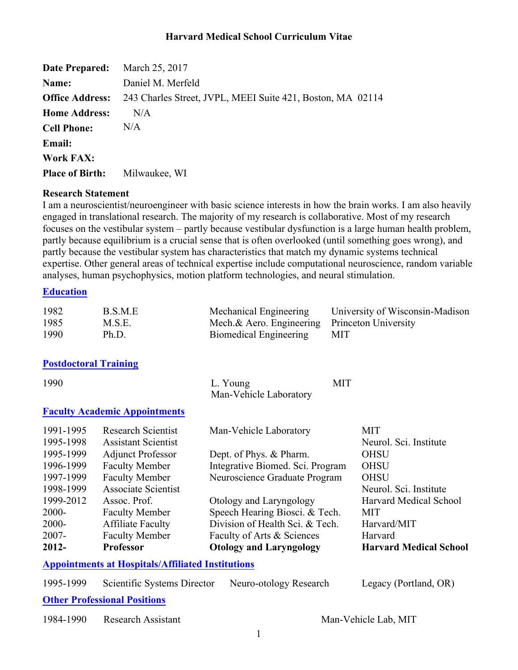| <b>Date Prepared:</b>  | March 25, 2017                                                                    |
|------------------------|-----------------------------------------------------------------------------------|
| Name:                  | Daniel M. Merfeld                                                                 |
|                        | <b>Office Address:</b> 243 Charles Street, JVPL, MEEI Suite 421, Boston, MA 02114 |
| <b>Home Address:</b>   | N/A                                                                               |
| <b>Cell Phone:</b>     | N/A                                                                               |
| <b>Email:</b>          |                                                                                   |
| <b>Work FAX:</b>       |                                                                                   |
| <b>Place of Birth:</b> | Milwaukee, WI                                                                     |

#### **Research Statement**

I am a neuroscientist/neuroengineer with basic science interests in how the brain works. I am also heavily engaged in translational research. The majority of my research is collaborative. Most of my research focuses on the vestibular system – partly because vestibular dysfunction is a large human health problem, partly because equilibrium is a crucial sense that is often overlooked (until something goes wrong), and partly because the vestibular system has characteristics that match my dynamic systems technical expertise. Other general areas of technical expertise include computational neuroscience, random variable analyses, human psychophysics, motion platform technologies, and neural stimulation.

#### **Education**

| 1982 | B.S.M.E | Mechanical Engineering                        | University of Wisconsin-Madison |
|------|---------|-----------------------------------------------|---------------------------------|
| 1985 | M.S.E.  | Mech.& Aero. Engineering Princeton University |                                 |
| 1990 | Ph.D.   | Biomedical Engineering                        | MIT                             |

#### **Postdoctoral Training**

| 1990      |                                                          | <b>MIT</b><br>L. Young<br>Man-Vehicle Laboratory |                               |
|-----------|----------------------------------------------------------|--------------------------------------------------|-------------------------------|
|           | <b>Faculty Academic Appointments</b>                     |                                                  |                               |
| 1991-1995 | <b>Research Scientist</b>                                | Man-Vehicle Laboratory                           | <b>MIT</b>                    |
| 1995-1998 | <b>Assistant Scientist</b>                               |                                                  | Neurol. Sci. Institute        |
| 1995-1999 | <b>Adjunct Professor</b>                                 | Dept. of Phys. & Pharm.                          | <b>OHSU</b>                   |
| 1996-1999 | <b>Faculty Member</b>                                    | Integrative Biomed. Sci. Program                 | <b>OHSU</b>                   |
| 1997-1999 | <b>Faculty Member</b>                                    | Neuroscience Graduate Program                    | <b>OHSU</b>                   |
| 1998-1999 | Associate Scientist                                      |                                                  | Neurol. Sci. Institute        |
| 1999-2012 | Assoc. Prof.                                             | Otology and Laryngology                          | <b>Harvard Medical School</b> |
| $2000 -$  | <b>Faculty Member</b>                                    | Speech Hearing Biosci. & Tech.                   | <b>MIT</b>                    |
| $2000 -$  | <b>Affiliate Faculty</b>                                 | Division of Health Sci. & Tech.                  | Harvard/MIT                   |
| $2007 -$  | <b>Faculty Member</b>                                    | Faculty of Arts & Sciences                       | Harvard                       |
| $2012 -$  | <b>Professor</b>                                         | <b>Otology and Laryngology</b>                   | <b>Harvard Medical School</b> |
|           | <b>Appointments at Hospitals/Affiliated Institutions</b> |                                                  |                               |

| 1995-1999 | Scientific Systems Director | Neuro-otology Research | Legacy (Portland, OR) |
|-----------|-----------------------------|------------------------|-----------------------|
| --        |                             |                        |                       |

**Other Professional Positions**

1984-1990 Research Assistant Man-Vehicle Lab, MIT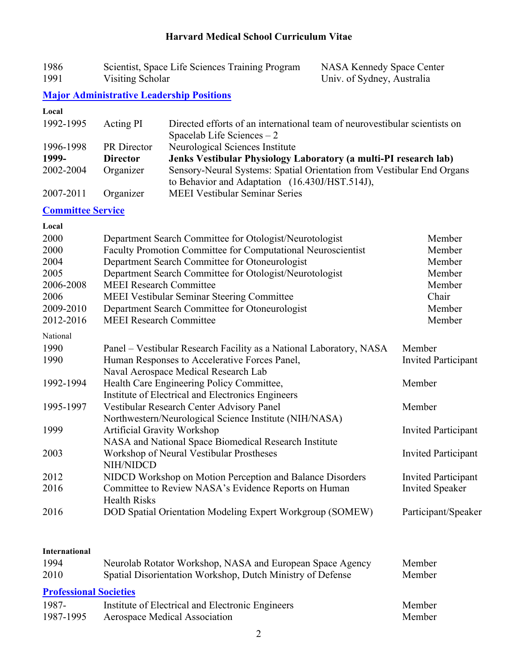| 1986 | Scientist, Space Life Sciences Training Program | <b>NASA Kennedy Space Center</b> |
|------|-------------------------------------------------|----------------------------------|
| 1991 | Visiting Scholar                                | Univ. of Sydney, Australia       |

## **Major Administrative Leadership Positions**

| Local                    |                                |                                                                                                                          |                            |
|--------------------------|--------------------------------|--------------------------------------------------------------------------------------------------------------------------|----------------------------|
| 1992-1995                | Acting PI                      | Directed efforts of an international team of neurovestibular scientists on<br>Spacelab Life Sciences $-2$                |                            |
| 1996-1998                | PR Director                    | Neurological Sciences Institute                                                                                          |                            |
| 1999-                    | <b>Director</b>                | Jenks Vestibular Physiology Laboratory (a multi-PI research lab)                                                         |                            |
| 2002-2004                | Organizer                      | Sensory-Neural Systems: Spatial Orientation from Vestibular End Organs<br>to Behavior and Adaptation (16.430J/HST.514J), |                            |
| 2007-2011                | Organizer                      | <b>MEEI Vestibular Seminar Series</b>                                                                                    |                            |
| <b>Committee Service</b> |                                |                                                                                                                          |                            |
| Local                    |                                |                                                                                                                          |                            |
| 2000                     |                                | Department Search Committee for Otologist/Neurotologist                                                                  | Member                     |
| 2000                     |                                | Faculty Promotion Committee for Computational Neuroscientist                                                             | Member                     |
| 2004                     |                                | Department Search Committee for Otoneurologist                                                                           | Member                     |
| 2005                     |                                | Department Search Committee for Otologist/Neurotologist                                                                  | Member                     |
| 2006-2008                | <b>MEEI Research Committee</b> |                                                                                                                          | Member                     |
| 2006                     |                                | <b>MEEI Vestibular Seminar Steering Committee</b>                                                                        | Chair                      |
| 2009-2010                |                                | Department Search Committee for Otoneurologist                                                                           | Member                     |
| 2012-2016                | <b>MEEI Research Committee</b> |                                                                                                                          | Member                     |
| National                 |                                |                                                                                                                          |                            |
| 1990                     |                                | Panel – Vestibular Research Facility as a National Laboratory, NASA                                                      | Member                     |
| 1990                     |                                | Human Responses to Accelerative Forces Panel,                                                                            | <b>Invited Participant</b> |
|                          |                                | Naval Aerospace Medical Research Lab                                                                                     |                            |
| 1992-1994                |                                | Health Care Engineering Policy Committee,                                                                                | Member                     |
|                          |                                | Institute of Electrical and Electronics Engineers                                                                        |                            |
| 1995-1997                |                                | Vestibular Research Center Advisory Panel                                                                                | Member                     |
|                          |                                | Northwestern/Neurological Science Institute (NIH/NASA)                                                                   |                            |
| 1999                     |                                | <b>Artificial Gravity Workshop</b>                                                                                       | <b>Invited Participant</b> |
|                          |                                | NASA and National Space Biomedical Research Institute                                                                    |                            |
| 2003                     | NIH/NIDCD                      | Workshop of Neural Vestibular Prostheses                                                                                 | <b>Invited Participant</b> |
| 2012                     |                                | NIDCD Workshop on Motion Perception and Balance Disorders                                                                | <b>Invited Participant</b> |
| 2016                     | <b>Health Risks</b>            | Committee to Review NASA's Evidence Reports on Human                                                                     | <b>Invited Speaker</b>     |
| 2016                     |                                | DOD Spatial Orientation Modeling Expert Workgroup (SOMEW)                                                                | Participant/Speaker        |
| <b>International</b>     |                                |                                                                                                                          |                            |
| 1994                     |                                | Neurolab Rotator Workshop, NASA and European Space Agency                                                                | Member                     |
| 2010                     |                                | Spatial Disorientation Workshop, Dutch Ministry of Defense                                                               | Member                     |

### **Professional Societies**

| 1987-     | Institute of Electrical and Electronic Engineers | Member |
|-----------|--------------------------------------------------|--------|
| 1987-1995 | Aerospace Medical Association                    | Member |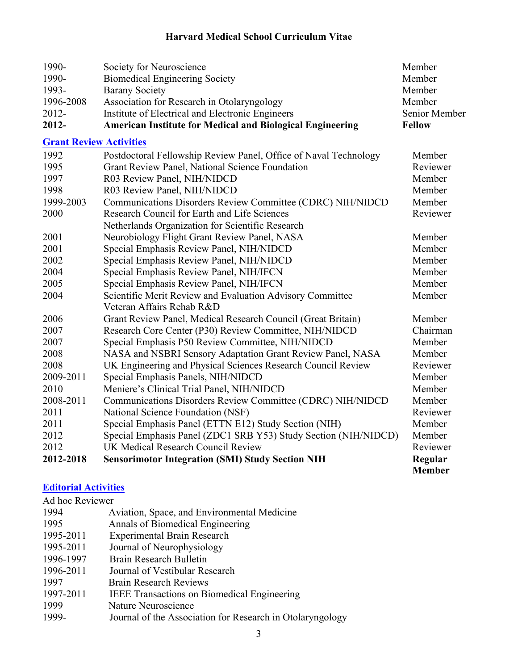| 1990-                          | Society for Neuroscience                                         | Member        |
|--------------------------------|------------------------------------------------------------------|---------------|
| 1990-                          | <b>Biomedical Engineering Society</b>                            | Member        |
| 1993-                          | <b>Barany Society</b>                                            | Member        |
| 1996-2008                      | Association for Research in Otolaryngology                       | Member        |
| 2012-                          | Institute of Electrical and Electronic Engineers                 | Senior Member |
| 2012-                          | <b>American Institute for Medical and Biological Engineering</b> | <b>Fellow</b> |
| <b>Grant Review Activities</b> |                                                                  |               |
| 1992                           | Postdoctoral Fellowship Review Panel, Office of Naval Technology | Member        |
| 1995                           | Grant Review Panel, National Science Foundation                  | Reviewer      |
| 1997                           | R03 Review Panel, NIH/NIDCD                                      | Member        |
| 1998                           | R03 Review Panel, NIH/NIDCD                                      | Member        |
| 1999-2003                      | Communications Disorders Review Committee (CDRC) NIH/NIDCD       | Member        |
| 2000                           | Research Council for Earth and Life Sciences                     | Reviewer      |
|                                | Netherlands Organization for Scientific Research                 |               |
| 2001                           | Neurobiology Flight Grant Review Panel, NASA                     | Member        |
| 2001                           | Special Emphasis Review Panel, NIH/NIDCD                         | Member        |
| 2002                           | Special Emphasis Review Panel, NIH/NIDCD                         | Member        |
| 2004                           | Special Emphasis Review Panel, NIH/IFCN                          | Member        |
| 2005                           | Special Emphasis Review Panel, NIH/IFCN                          | Member        |
| 2004                           | Scientific Merit Review and Evaluation Advisory Committee        | Member        |
|                                | Veteran Affairs Rehab R&D                                        |               |
| 2006                           | Grant Review Panel, Medical Research Council (Great Britain)     | Member        |
| 2007                           | Research Core Center (P30) Review Committee, NIH/NIDCD           | Chairman      |
| 2007                           | Special Emphasis P50 Review Committee, NIH/NIDCD                 | Member        |
| 2008                           | NASA and NSBRI Sensory Adaptation Grant Review Panel, NASA       | Member        |
| 2008                           | UK Engineering and Physical Sciences Research Council Review     | Reviewer      |
| 2009-2011                      | Special Emphasis Panels, NIH/NIDCD                               | Member        |
| 2010                           | Meniere's Clinical Trial Panel, NIH/NIDCD                        | Member        |
| 2008-2011                      | Communications Disorders Review Committee (CDRC) NIH/NIDCD       | Member        |
| 2011                           | National Science Foundation (NSF)                                | Reviewer      |
| 2011                           | Special Emphasis Panel (ETTN E12) Study Section (NIH)            | Member        |
| 2012                           | Special Emphasis Panel (ZDC1 SRB Y53) Study Section (NIH/NIDCD)  | Member        |
| 2012                           | UK Medical Research Council Review                               | Reviewer      |
| 2012-2018                      | <b>Sensorimotor Integration (SMI) Study Section NIH</b>          | Regular       |
|                                |                                                                  | <b>Member</b> |

## **Editorial Activities**

Ad hoc Reviewer<br>1994 A Aviation, Space, and Environmental Medicine

| 1995      | Annals of Biomedical Engineering                          |
|-----------|-----------------------------------------------------------|
| 1995-2011 | <b>Experimental Brain Research</b>                        |
| 1995-2011 | Journal of Neurophysiology                                |
| 1996-1997 | Brain Research Bulletin                                   |
| 1996-2011 | Journal of Vestibular Research                            |
| 1997      | <b>Brain Research Reviews</b>                             |
| 1997-2011 | <b>IEEE</b> Transactions on Biomedical Engineering        |
| 1999      | Nature Neuroscience                                       |
| 1999-     | Journal of the Association for Research in Otolaryngology |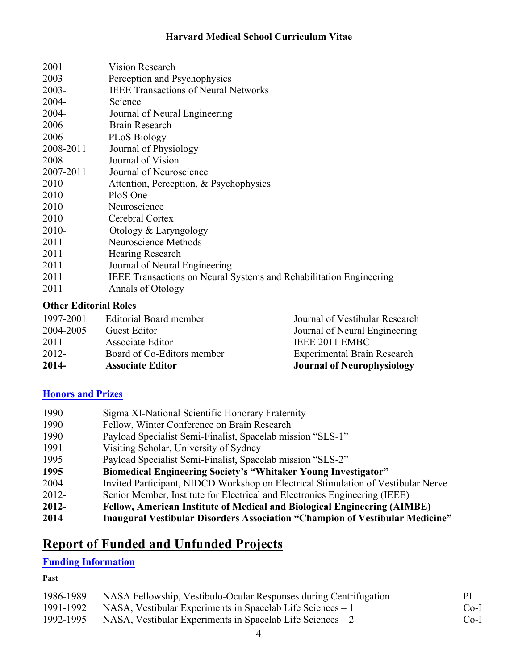| 2001                                | <b>Vision Research</b>                                                    |
|-------------------------------------|---------------------------------------------------------------------------|
| 2003                                | Perception and Psychophysics                                              |
| $2003 -$                            | <b>IEEE Transactions of Neural Networks</b>                               |
| $2004 -$                            | Science                                                                   |
| 2004-                               | Journal of Neural Engineering                                             |
| 2006-                               | Brain Research                                                            |
| 2006                                | <b>PLoS Biology</b>                                                       |
| 2008-2011                           | Journal of Physiology                                                     |
| 2008                                | Journal of Vision                                                         |
| 2007-2011                           | Journal of Neuroscience                                                   |
| 2010                                | Attention, Perception, & Psychophysics                                    |
| 2010                                | PloS One                                                                  |
| 2010                                | Neuroscience                                                              |
| 2010                                | Cerebral Cortex                                                           |
| $2010-$                             | Otology & Laryngology                                                     |
| 2011                                | Neuroscience Methods                                                      |
| 2011                                | Hearing Research                                                          |
| 2011                                | Journal of Neural Engineering                                             |
| 2011                                | <b>IEEE Transactions on Neural Systems and Rehabilitation Engineering</b> |
| 2011                                | Annals of Otology                                                         |
| $\Omega_{\rm th} = \Gamma_{\rm th}$ |                                                                           |

#### **Other Editorial Roles**

| 2012-<br>2014- | Board of Co-Editors member<br><b>Associate Editor</b> | <b>Experimental Brain Research</b><br><b>Journal of Neurophysiology</b> |
|----------------|-------------------------------------------------------|-------------------------------------------------------------------------|
| 2011           | Associate Editor                                      | IEEE 2011 EMBC                                                          |
| 2004-2005      | <b>Guest Editor</b>                                   | Journal of Neural Engineering                                           |
| 1997-2001      | Editorial Board member                                | Journal of Vestibular Research                                          |

### **Honors and Prizes**

| 1990     | Sigma XI-National Scientific Honorary Fraternity                                  |
|----------|-----------------------------------------------------------------------------------|
| 1990     | Fellow, Winter Conference on Brain Research                                       |
| 1990     | Payload Specialist Semi-Finalist, Spacelab mission "SLS-1"                        |
| 1991     | Visiting Scholar, University of Sydney                                            |
| 1995     | Payload Specialist Semi-Finalist, Spacelab mission "SLS-2"                        |
| 1995     | <b>Biomedical Engineering Society's "Whitaker Young Investigator"</b>             |
| 2004     | Invited Participant, NIDCD Workshop on Electrical Stimulation of Vestibular Nerve |
| $2012 -$ | Senior Member, Institute for Electrical and Electronics Engineering (IEEE)        |
| $2012 -$ | <b>Fellow, American Institute of Medical and Biological Engineering (AIMBE)</b>   |
| 2014     | Inaugural Vestibular Disorders Association "Champion of Vestibular Medicine"      |

# **Report of Funded and Unfunded Projects**

### **Funding Information**

### **Past**

| 1986-1989 | NASA Fellowship, Vestibulo-Ocular Responses during Centrifugation | <sub>PI</sub> |
|-----------|-------------------------------------------------------------------|---------------|
| 1991-1992 | NASA, Vestibular Experiments in Spacelab Life Sciences – 1        | $Co-I$        |
| 1992-1995 | NASA, Vestibular Experiments in Spacelab Life Sciences $-2$       | $Co-I$        |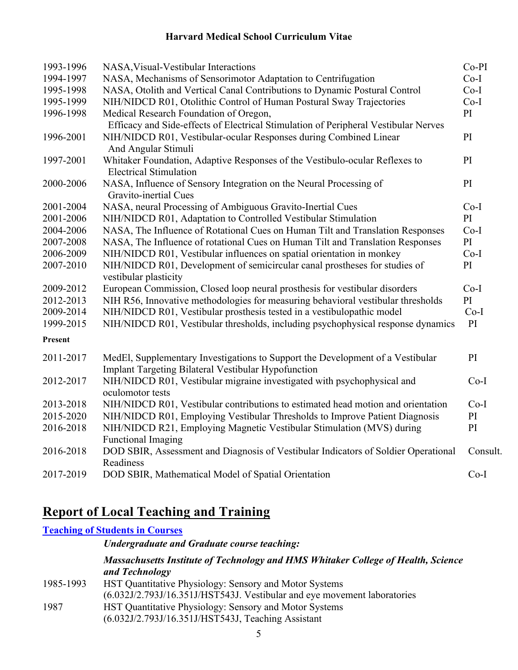| 1993-1996 | NASA, Visual-Vestibular Interactions                                                                                                         | $Co-PI$  |
|-----------|----------------------------------------------------------------------------------------------------------------------------------------------|----------|
| 1994-1997 | NASA, Mechanisms of Sensorimotor Adaptation to Centrifugation                                                                                | $Co-I$   |
| 1995-1998 | NASA, Otolith and Vertical Canal Contributions to Dynamic Postural Control                                                                   | $Co-I$   |
| 1995-1999 | NIH/NIDCD R01, Otolithic Control of Human Postural Sway Trajectories                                                                         | $Co-I$   |
| 1996-1998 | Medical Research Foundation of Oregon,                                                                                                       | PI       |
|           | Efficacy and Side-effects of Electrical Stimulation of Peripheral Vestibular Nerves                                                          |          |
| 1996-2001 | NIH/NIDCD R01, Vestibular-ocular Responses during Combined Linear<br>And Angular Stimuli                                                     | PI       |
| 1997-2001 | Whitaker Foundation, Adaptive Responses of the Vestibulo-ocular Reflexes to<br><b>Electrical Stimulation</b>                                 | PI       |
| 2000-2006 | NASA, Influence of Sensory Integration on the Neural Processing of<br>Gravito-inertial Cues                                                  | PI       |
| 2001-2004 | NASA, neural Processing of Ambiguous Gravito-Inertial Cues                                                                                   | $Co-I$   |
| 2001-2006 | NIH/NIDCD R01, Adaptation to Controlled Vestibular Stimulation                                                                               | PI       |
| 2004-2006 | NASA, The Influence of Rotational Cues on Human Tilt and Translation Responses                                                               | $Co-I$   |
| 2007-2008 | NASA, The Influence of rotational Cues on Human Tilt and Translation Responses                                                               | PI       |
| 2006-2009 | NIH/NIDCD R01, Vestibular influences on spatial orientation in monkey                                                                        | $Co-I$   |
| 2007-2010 | NIH/NIDCD R01, Development of semicircular canal prostheses for studies of<br>vestibular plasticity                                          | PI       |
| 2009-2012 | European Commission, Closed loop neural prosthesis for vestibular disorders                                                                  | $Co-I$   |
| 2012-2013 | NIH R56, Innovative methodologies for measuring behavioral vestibular thresholds                                                             | PI       |
| 2009-2014 | NIH/NIDCD R01, Vestibular prosthesis tested in a vestibulopathic model                                                                       | $Co-I$   |
| 1999-2015 | NIH/NIDCD R01, Vestibular thresholds, including psychophysical response dynamics                                                             | PI       |
| Present   |                                                                                                                                              |          |
| 2011-2017 | MedEl, Supplementary Investigations to Support the Development of a Vestibular<br><b>Implant Targeting Bilateral Vestibular Hypofunction</b> | PI       |
| 2012-2017 | NIH/NIDCD R01, Vestibular migraine investigated with psychophysical and<br>oculomotor tests                                                  | $Co-I$   |
| 2013-2018 | NIH/NIDCD R01, Vestibular contributions to estimated head motion and orientation                                                             | $Co-I$   |
| 2015-2020 | NIH/NIDCD R01, Employing Vestibular Thresholds to Improve Patient Diagnosis                                                                  | PI       |
| 2016-2018 | NIH/NIDCD R21, Employing Magnetic Vestibular Stimulation (MVS) during                                                                        | PI       |
|           | <b>Functional Imaging</b>                                                                                                                    |          |
| 2016-2018 | DOD SBIR, Assessment and Diagnosis of Vestibular Indicators of Soldier Operational<br>Readiness                                              | Consult. |
| 2017-2019 | DOD SBIR, Mathematical Model of Spatial Orientation                                                                                          | $Co-I$   |
|           |                                                                                                                                              |          |

# **Report of Local Teaching and Training**

#### **Teaching of Students in Courses**

*Undergraduate and Graduate course teaching:* 

#### *Massachusetts Institute of Technology and HMS Whitaker College of Health, Science and Technology*

1985-1993 HST Quantitative Physiology: Sensory and Motor Systems (6.032J/2.793J/16.351J/HST543J. Vestibular and eye movement laboratories 1987 HST Quantitative Physiology: Sensory and Motor Systems (6.032J/2.793J/16.351J/HST543J, Teaching Assistant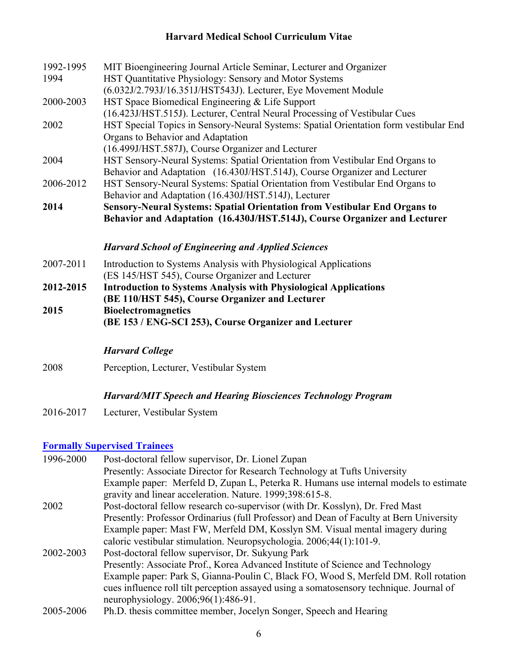| 1992-1995 | MIT Bioengineering Journal Article Seminar, Lecturer and Organizer                    |
|-----------|---------------------------------------------------------------------------------------|
| 1994      | HST Quantitative Physiology: Sensory and Motor Systems                                |
|           | (6.032J/2.793J/16.351J/HST543J). Lecturer, Eye Movement Module                        |
| 2000-2003 | HST Space Biomedical Engineering & Life Support                                       |
|           | (16.423J/HST.515J). Lecturer, Central Neural Processing of Vestibular Cues            |
| 2002      | HST Special Topics in Sensory-Neural Systems: Spatial Orientation form vestibular End |
|           | Organs to Behavior and Adaptation                                                     |
|           | (16.499J/HST.587J), Course Organizer and Lecturer                                     |
| 2004      | HST Sensory-Neural Systems: Spatial Orientation from Vestibular End Organs to         |
|           | Behavior and Adaptation (16.430J/HST.514J), Course Organizer and Lecturer             |
| 2006-2012 | HST Sensory-Neural Systems: Spatial Orientation from Vestibular End Organs to         |
|           | Behavior and Adaptation (16.430J/HST.514J), Lecturer                                  |
| 2014      | Sensory-Neural Systems: Spatial Orientation from Vestibular End Organs to             |
|           | Behavior and Adaptation (16.430J/HST.514J), Course Organizer and Lecturer             |
|           | <b>Harvard School of Engineering and Applied Sciences</b>                             |
| 2007-2011 | Introduction to Systems Analysis with Physiological Applications                      |
|           | (ES 145/HST 545), Course Organizer and Lecturer                                       |
| 2012-2015 | <b>Introduction to Systems Analysis with Physiological Applications</b>               |

**(BE 110/HST 545), Course Organizer and Lecturer 2015 Bioelectromagnetics (BE 153 / ENG-SCI 253), Course Organizer and Lecturer**

### *Harvard College*

2008 Perception, Lecturer, Vestibular System

#### *Harvard/MIT Speech and Hearing Biosciences Technology Program*

2016-2017 Lecturer, Vestibular System

### **Formally Supervised Trainees**

| 1996-2000 | Post-doctoral fellow supervisor, Dr. Lionel Zupan<br>Presently: Associate Director for Research Technology at Tufts University                   |
|-----------|--------------------------------------------------------------------------------------------------------------------------------------------------|
|           | Example paper: Merfeld D, Zupan L, Peterka R. Humans use internal models to estimate<br>gravity and linear acceleration. Nature. 1999;398:615-8. |
| 2002      | Post-doctoral fellow research co-supervisor (with Dr. Kosslyn), Dr. Fred Mast                                                                    |
|           | Presently: Professor Ordinarius (full Professor) and Dean of Faculty at Bern University                                                          |
|           | Example paper: Mast FW, Merfeld DM, Kosslyn SM. Visual mental imagery during                                                                     |
|           | caloric vestibular stimulation. Neuropsychologia. 2006;44(1):101-9.                                                                              |
| 2002-2003 | Post-doctoral fellow supervisor, Dr. Sukyung Park                                                                                                |
|           | Presently: Associate Prof., Korea Advanced Institute of Science and Technology                                                                   |
|           | Example paper: Park S, Gianna-Poulin C, Black FO, Wood S, Merfeld DM. Roll rotation                                                              |
|           | cues influence roll tilt perception assayed using a somatosensory technique. Journal of                                                          |
|           | neurophysiology. $2006;96(1):486-91$ .                                                                                                           |
| 2005-2006 | Ph.D. thesis committee member, Jocelyn Songer, Speech and Hearing                                                                                |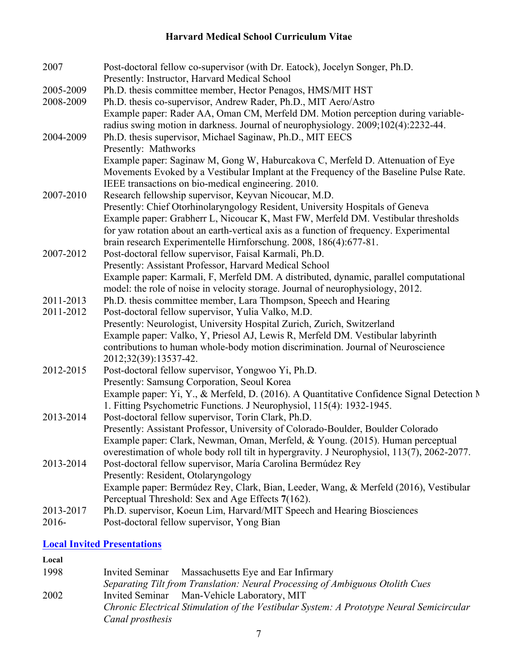| 2007      | Post-doctoral fellow co-supervisor (with Dr. Eatock), Jocelyn Songer, Ph.D.                |
|-----------|--------------------------------------------------------------------------------------------|
|           | Presently: Instructor, Harvard Medical School                                              |
| 2005-2009 | Ph.D. thesis committee member, Hector Penagos, HMS/MIT HST                                 |
| 2008-2009 | Ph.D. thesis co-supervisor, Andrew Rader, Ph.D., MIT Aero/Astro                            |
|           | Example paper: Rader AA, Oman CM, Merfeld DM. Motion perception during variable-           |
|           | radius swing motion in darkness. Journal of neurophysiology. 2009;102(4):2232-44.          |
| 2004-2009 | Ph.D. thesis supervisor, Michael Saginaw, Ph.D., MIT EECS                                  |
|           | Presently: Mathworks                                                                       |
|           | Example paper: Saginaw M, Gong W, Haburcakova C, Merfeld D. Attenuation of Eye             |
|           | Movements Evoked by a Vestibular Implant at the Frequency of the Baseline Pulse Rate.      |
|           | IEEE transactions on bio-medical engineering. 2010.                                        |
| 2007-2010 | Research fellowship supervisor, Keyvan Nicoucar, M.D.                                      |
|           | Presently: Chief Otorhinolaryngology Resident, University Hospitals of Geneva              |
|           | Example paper: Grabherr L, Nicoucar K, Mast FW, Merfeld DM. Vestibular thresholds          |
|           | for yaw rotation about an earth-vertical axis as a function of frequency. Experimental     |
|           | brain research Experimentelle Hirnforschung. 2008, 186(4):677-81.                          |
| 2007-2012 | Post-doctoral fellow supervisor, Faisal Karmali, Ph.D.                                     |
|           | Presently: Assistant Professor, Harvard Medical School                                     |
|           | Example paper: Karmali, F, Merfeld DM. A distributed, dynamic, parallel computational      |
|           | model: the role of noise in velocity storage. Journal of neurophysiology, 2012.            |
| 2011-2013 | Ph.D. thesis committee member, Lara Thompson, Speech and Hearing                           |
| 2011-2012 | Post-doctoral fellow supervisor, Yulia Valko, M.D.                                         |
|           | Presently: Neurologist, University Hospital Zurich, Zurich, Switzerland                    |
|           | Example paper: Valko, Y, Priesol AJ, Lewis R, Merfeld DM. Vestibular labyrinth             |
|           | contributions to human whole-body motion discrimination. Journal of Neuroscience           |
|           | 2012;32(39):13537-42.                                                                      |
| 2012-2015 | Post-doctoral fellow supervisor, Yongwoo Yi, Ph.D.                                         |
|           | Presently: Samsung Corporation, Seoul Korea                                                |
|           | Example paper: Yi, Y., & Merfeld, D. (2016). A Quantitative Confidence Signal Detection N  |
|           | 1. Fitting Psychometric Functions. J Neurophysiol, 115(4): 1932-1945.                      |
| 2013-2014 | Post-doctoral fellow supervisor, Torin Clark, Ph.D.                                        |
|           | Presently: Assistant Professor, University of Colorado-Boulder, Boulder Colorado           |
|           | Example paper: Clark, Newman, Oman, Merfeld, & Young. (2015). Human perceptual             |
|           | overestimation of whole body roll tilt in hypergravity. J Neurophysiol, 113(7), 2062-2077. |
| 2013-2014 | Post-doctoral fellow supervisor, María Carolina Bermúdez Rey                               |
|           | Presently: Resident, Otolaryngology                                                        |
|           | Example paper: Bermúdez Rey, Clark, Bian, Leeder, Wang, & Merfeld (2016), Vestibular       |
|           | Perceptual Threshold: Sex and Age Effects 7(162).                                          |
| 2013-2017 | Ph.D. supervisor, Koeun Lim, Harvard/MIT Speech and Hearing Biosciences                    |
| $2016-$   | Post-doctoral fellow supervisor, Yong Bian                                                 |

## **Local Invited Presentations**

## **Local**

| 1998 | Massachusetts Eye and Ear Infirmary<br><b>Invited Seminar</b>                            |
|------|------------------------------------------------------------------------------------------|
|      | Separating Tilt from Translation: Neural Processing of Ambiguous Otolith Cues            |
| 2002 | Invited Seminar Man-Vehicle Laboratory, MIT                                              |
|      | Chronic Electrical Stimulation of the Vestibular System: A Prototype Neural Semicircular |
|      | Canal prosthesis                                                                         |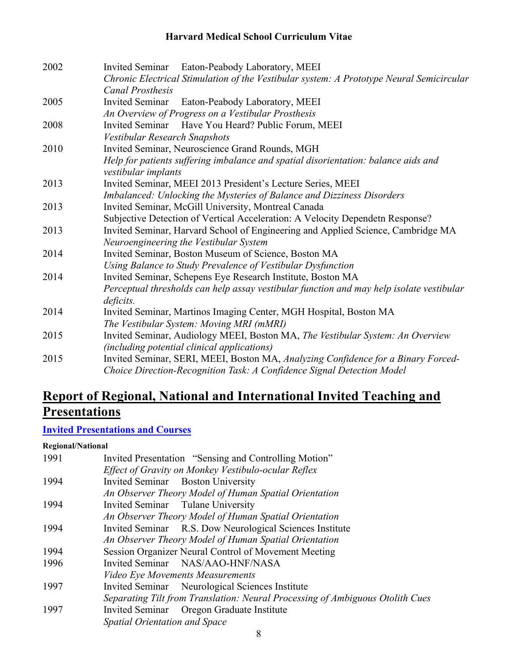| 2002 | Invited Seminar Eaton-Peabody Laboratory, MEEI                                           |
|------|------------------------------------------------------------------------------------------|
|      | Chronic Electrical Stimulation of the Vestibular system: A Prototype Neural Semicircular |
|      | <b>Canal Prosthesis</b>                                                                  |
| 2005 | Invited Seminar Eaton-Peabody Laboratory, MEEI                                           |
|      | An Overview of Progress on a Vestibular Prosthesis                                       |
| 2008 | Invited Seminar Have You Heard? Public Forum, MEEI                                       |
|      | Vestibular Research Snapshots                                                            |
| 2010 | Invited Seminar, Neuroscience Grand Rounds, MGH                                          |
|      | Help for patients suffering imbalance and spatial disorientation: balance aids and       |
|      | vestibular implants                                                                      |
| 2013 | Invited Seminar, MEEI 2013 President's Lecture Series, MEEI                              |
|      | Imbalanced: Unlocking the Mysteries of Balance and Dizziness Disorders                   |
| 2013 | Invited Seminar, McGill University, Montreal Canada                                      |
|      | Subjective Detection of Vertical Acceleration: A Velocity Dependetn Response?            |
| 2013 | Invited Seminar, Harvard School of Engineering and Applied Science, Cambridge MA         |
|      | Neuroengineering the Vestibular System                                                   |
| 2014 | Invited Seminar, Boston Museum of Science, Boston MA                                     |
|      | Using Balance to Study Prevalence of Vestibular Dysfunction                              |
| 2014 | Invited Seminar, Schepens Eye Research Institute, Boston MA                              |
|      | Perceptual thresholds can help assay vestibular function and may help isolate vestibular |
|      | deficits.                                                                                |
| 2014 | Invited Seminar, Martinos Imaging Center, MGH Hospital, Boston MA                        |
|      | The Vestibular System: Moving MRI (mMRI)                                                 |
| 2015 | Invited Seminar, Audiology MEEI, Boston MA, The Vestibular System: An Overview           |
|      | (including potential clinical applications)                                              |
| 2015 | Invited Seminar, SERI, MEEI, Boston MA, Analyzing Confidence for a Binary Forced-        |
|      | Choice Direction-Recognition Task: A Confidence Signal Detection Model                   |

# **Report of Regional, National and International Invited Teaching and Presentations**

## **Invited Presentations and Courses**

**Regional/National** 

| 1991 | Invited Presentation "Sensing and Controlling Motion"                         |
|------|-------------------------------------------------------------------------------|
|      | Effect of Gravity on Monkey Vestibulo-ocular Reflex                           |
| 1994 | Invited Seminar Boston University                                             |
|      | An Observer Theory Model of Human Spatial Orientation                         |
| 1994 | Invited Seminar Tulane University                                             |
|      | An Observer Theory Model of Human Spatial Orientation                         |
| 1994 | Invited Seminar R.S. Dow Neurological Sciences Institute                      |
|      | An Observer Theory Model of Human Spatial Orientation                         |
| 1994 | Session Organizer Neural Control of Movement Meeting                          |
| 1996 | Invited Seminar NAS/AAO-HNF/NASA                                              |
|      | <b>Video Eye Movements Measurements</b>                                       |
| 1997 | Invited Seminar Neurological Sciences Institute                               |
|      | Separating Tilt from Translation: Neural Processing of Ambiguous Otolith Cues |
| 1997 | Invited Seminar Oregon Graduate Institute                                     |
|      | Spatial Orientation and Space                                                 |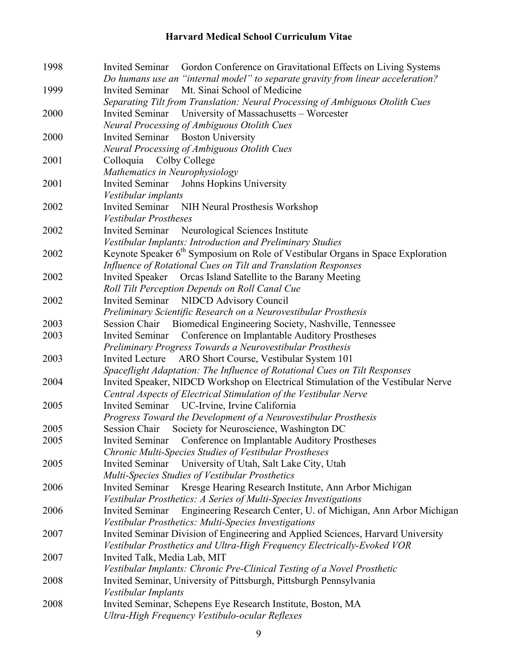| 1998 | Gordon Conference on Gravitational Effects on Living Systems<br>Invited Seminar             |
|------|---------------------------------------------------------------------------------------------|
|      | Do humans use an "internal model" to separate gravity from linear acceleration?             |
| 1999 | Mt. Sinai School of Medicine<br><b>Invited Seminar</b>                                      |
|      | Separating Tilt from Translation: Neural Processing of Ambiguous Otolith Cues               |
| 2000 | <b>Invited Seminar</b><br>University of Massachusetts – Worcester                           |
|      | <b>Neural Processing of Ambiguous Otolith Cues</b>                                          |
| 2000 | Invited Seminar Boston University                                                           |
|      | <b>Neural Processing of Ambiguous Otolith Cues</b>                                          |
| 2001 | Colloquia<br>Colby College                                                                  |
|      | Mathematics in Neurophysiology                                                              |
| 2001 | Invited Seminar Johns Hopkins University                                                    |
|      | Vestibular implants                                                                         |
| 2002 | <b>Invited Seminar</b><br>NIH Neural Prosthesis Workshop                                    |
|      | Vestibular Prostheses                                                                       |
| 2002 | Invited Seminar Neurological Sciences Institute                                             |
|      | Vestibular Implants: Introduction and Preliminary Studies                                   |
| 2002 | Keynote Speaker 6 <sup>th</sup> Symposium on Role of Vestibular Organs in Space Exploration |
|      | Influence of Rotational Cues on Tilt and Translation Responses                              |
| 2002 | <b>Invited Speaker</b><br>Orcas Island Satellite to the Barany Meeting                      |
|      | Roll Tilt Perception Depends on Roll Canal Cue                                              |
| 2002 | Invited Seminar NIDCD Advisory Council                                                      |
|      | Preliminary Scientific Research on a Neurovestibular Prosthesis                             |
| 2003 | Session Chair Biomedical Engineering Society, Nashville, Tennessee                          |
| 2003 | <b>Invited Seminar</b><br>Conference on Implantable Auditory Prostheses                     |
|      | Preliminary Progress Towards a Neurovestibular Prosthesis                                   |
| 2003 | Invited Lecture<br>ARO Short Course, Vestibular System 101                                  |
|      | Spaceflight Adaptation: The Influence of Rotational Cues on Tilt Responses                  |
| 2004 | Invited Speaker, NIDCD Workshop on Electrical Stimulation of the Vestibular Nerve           |
|      | Central Aspects of Electrical Stimulation of the Vestibular Nerve                           |
| 2005 | Invited Seminar UC-Irvine, Irvine California                                                |
|      | Progress Toward the Development of a Neurovestibular Prosthesis                             |
| 2005 | Society for Neuroscience, Washington DC<br>Session Chair                                    |
| 2005 | Invited Seminar Conference on Implantable Auditory Prostheses                               |
|      | Chronic Multi-Species Studies of Vestibular Prostheses                                      |
| 2005 | University of Utah, Salt Lake City, Utah<br><b>Invited Seminar</b>                          |
|      | Multi-Species Studies of Vestibular Prosthetics                                             |
| 2006 | Kresge Hearing Research Institute, Ann Arbor Michigan<br><b>Invited Seminar</b>             |
|      | Vestibular Prosthetics: A Series of Multi-Species Investigations                            |
| 2006 | <b>Invited Seminar</b><br>Engineering Research Center, U. of Michigan, Ann Arbor Michigan   |
|      | Vestibular Prosthetics: Multi-Species Investigations                                        |
| 2007 | Invited Seminar Division of Engineering and Applied Sciences, Harvard University            |
|      | Vestibular Prosthetics and Ultra-High Frequency Electrically-Evoked VOR                     |
| 2007 | Invited Talk, Media Lab, MIT                                                                |
|      | Vestibular Implants: Chronic Pre-Clinical Testing of a Novel Prosthetic                     |
| 2008 | Invited Seminar, University of Pittsburgh, Pittsburgh Pennsylvania                          |
|      | Vestibular Implants                                                                         |
| 2008 | Invited Seminar, Schepens Eye Research Institute, Boston, MA                                |
|      | Ultra-High Frequency Vestibulo-ocular Reflexes                                              |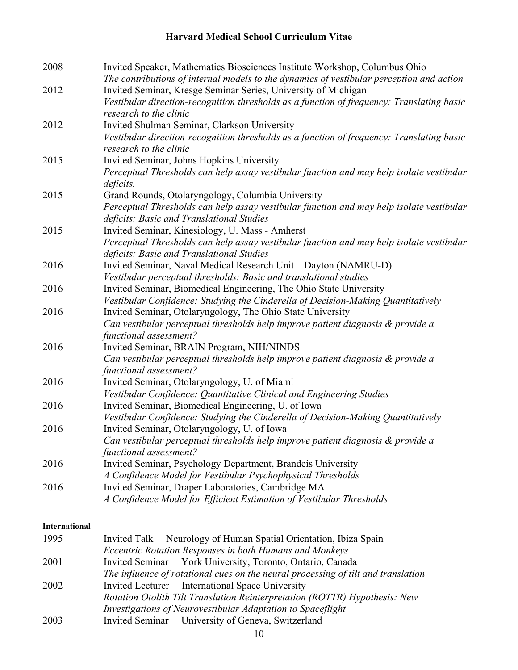| 2008 | Invited Speaker, Mathematics Biosciences Institute Workshop, Columbus Ohio<br>The contributions of internal models to the dynamics of vestibular perception and action |
|------|------------------------------------------------------------------------------------------------------------------------------------------------------------------------|
| 2012 | Invited Seminar, Kresge Seminar Series, University of Michigan                                                                                                         |
|      | Vestibular direction-recognition thresholds as a function of frequency: Translating basic<br>research to the clinic                                                    |
| 2012 | Invited Shulman Seminar, Clarkson University                                                                                                                           |
|      | Vestibular direction-recognition thresholds as a function of frequency: Translating basic<br>research to the clinic                                                    |
| 2015 | Invited Seminar, Johns Hopkins University                                                                                                                              |
|      | Perceptual Thresholds can help assay vestibular function and may help isolate vestibular<br>deficits.                                                                  |
| 2015 | Grand Rounds, Otolaryngology, Columbia University                                                                                                                      |
|      | Perceptual Thresholds can help assay vestibular function and may help isolate vestibular<br>deficits: Basic and Translational Studies                                  |
| 2015 | Invited Seminar, Kinesiology, U. Mass - Amherst                                                                                                                        |
|      | Perceptual Thresholds can help assay vestibular function and may help isolate vestibular<br>deficits: Basic and Translational Studies                                  |
| 2016 | Invited Seminar, Naval Medical Research Unit - Dayton (NAMRU-D)                                                                                                        |
|      | Vestibular perceptual thresholds: Basic and translational studies                                                                                                      |
| 2016 | Invited Seminar, Biomedical Engineering, The Ohio State University                                                                                                     |
|      | Vestibular Confidence: Studying the Cinderella of Decision-Making Quantitatively                                                                                       |
| 2016 | Invited Seminar, Otolaryngology, The Ohio State University                                                                                                             |
|      | Can vestibular perceptual thresholds help improve patient diagnosis & provide a<br>functional assessment?                                                              |
| 2016 | Invited Seminar, BRAIN Program, NIH/NINDS                                                                                                                              |
|      | Can vestibular perceptual thresholds help improve patient diagnosis & provide a<br>functional assessment?                                                              |
| 2016 | Invited Seminar, Otolaryngology, U. of Miami                                                                                                                           |
|      | Vestibular Confidence: Quantitative Clinical and Engineering Studies                                                                                                   |
| 2016 | Invited Seminar, Biomedical Engineering, U. of Iowa                                                                                                                    |
|      | Vestibular Confidence: Studying the Cinderella of Decision-Making Quantitatively                                                                                       |
| 2016 | Invited Seminar, Otolaryngology, U. of Iowa                                                                                                                            |
|      | Can vestibular perceptual thresholds help improve patient diagnosis & provide a<br>functional assessment?                                                              |
| 2016 | Invited Seminar, Psychology Department, Brandeis University                                                                                                            |
|      | A Confidence Model for Vestibular Psychophysical Thresholds                                                                                                            |
| 2016 | Invited Seminar, Draper Laboratories, Cambridge MA                                                                                                                     |
|      | A Confidence Model for Efficient Estimation of Vestibular Thresholds                                                                                                   |

#### **International**

| 1995 | Invited Talk Neurology of Human Spatial Orientation, Ibiza Spain                  |
|------|-----------------------------------------------------------------------------------|
|      | Eccentric Rotation Responses in both Humans and Monkeys                           |
| 2001 | Invited Seminar York University, Toronto, Ontario, Canada                         |
|      | The influence of rotational cues on the neural processing of tilt and translation |
| 2002 | Invited Lecturer International Space University                                   |
|      | Rotation Otolith Tilt Translation Reinterpretation (ROTTR) Hypothesis: New        |
|      | Investigations of Neurovestibular Adaptation to Spaceflight                       |
| 2003 | Invited Seminar University of Geneva, Switzerland                                 |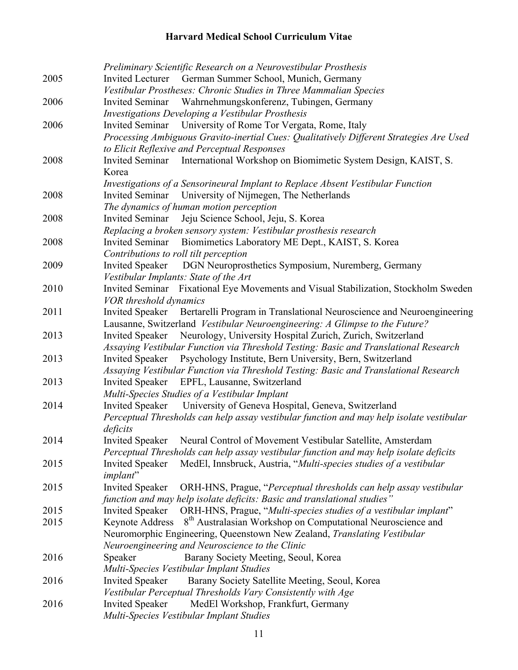|      | Preliminary Scientific Research on a Neurovestibular Prosthesis                             |
|------|---------------------------------------------------------------------------------------------|
| 2005 | Invited Lecturer German Summer School, Munich, Germany                                      |
|      | Vestibular Prostheses: Chronic Studies in Three Mammalian Species                           |
| 2006 | Wahrnehmungskonferenz, Tubingen, Germany<br><b>Invited Seminar</b>                          |
|      | Investigations Developing a Vestibular Prosthesis                                           |
| 2006 | Invited Seminar University of Rome Tor Vergata, Rome, Italy                                 |
|      | Processing Ambiguous Gravito-inertial Cues: Qualitatively Different Strategies Are Used     |
|      | to Elicit Reflexive and Perceptual Responses                                                |
|      |                                                                                             |
| 2008 | Invited Seminar International Workshop on Biomimetic System Design, KAIST, S.               |
|      | Korea                                                                                       |
|      | Investigations of a Sensorineural Implant to Replace Absent Vestibular Function             |
| 2008 | Invited Seminar University of Nijmegen, The Netherlands                                     |
|      | The dynamics of human motion perception                                                     |
| 2008 | Invited Seminar Jeju Science School, Jeju, S. Korea                                         |
|      | Replacing a broken sensory system: Vestibular prosthesis research                           |
| 2008 | Biomimetics Laboratory ME Dept., KAIST, S. Korea<br><b>Invited Seminar</b>                  |
|      | Contributions to roll tilt perception                                                       |
| 2009 | DGN Neuroprosthetics Symposium, Nuremberg, Germany<br><b>Invited Speaker</b>                |
|      | Vestibular Implants: State of the Art                                                       |
| 2010 | Invited Seminar Fixational Eye Movements and Visual Stabilization, Stockholm Sweden         |
|      | VOR threshold dynamics                                                                      |
| 2011 | Invited Speaker Bertarelli Program in Translational Neuroscience and Neuroengineering       |
|      | Lausanne, Switzerland Vestibular Neuroengineering: A Glimpse to the Future?                 |
| 2013 | Invited Speaker Neurology, University Hospital Zurich, Zurich, Switzerland                  |
|      | Assaying Vestibular Function via Threshold Testing: Basic and Translational Research        |
| 2013 | Invited Speaker Psychology Institute, Bern University, Bern, Switzerland                    |
|      | Assaying Vestibular Function via Threshold Testing: Basic and Translational Research        |
|      |                                                                                             |
| 2013 | Invited Speaker EPFL, Lausanne, Switzerland                                                 |
|      | Multi-Species Studies of a Vestibular Implant                                               |
| 2014 | Invited Speaker University of Geneva Hospital, Geneva, Switzerland                          |
|      | Perceptual Thresholds can help assay vestibular function and may help isolate vestibular    |
|      | deficits                                                                                    |
| 2014 | Invited Speaker Neural Control of Movement Vestibular Satellite, Amsterdam                  |
|      | Perceptual Thresholds can help assay vestibular function and may help isolate deficits      |
| 2015 | <b>Invited Speaker</b><br>MedEl, Innsbruck, Austria, "Multi-species studies of a vestibular |
|      | implant"                                                                                    |
| 2015 | <b>Invited Speaker</b><br>ORH-HNS, Prague, "Perceptual thresholds can help assay vestibular |
|      | function and may help isolate deficits: Basic and translational studies"                    |
| 2015 | ORH-HNS, Prague, "Multi-species studies of a vestibular implant"<br><b>Invited Speaker</b>  |
| 2015 | 8 <sup>th</sup> Australasian Workshop on Computational Neuroscience and<br>Keynote Address  |
|      | Neuromorphic Engineering, Queenstown New Zealand, Translating Vestibular                    |
|      | Neuroengineering and Neuroscience to the Clinic                                             |
| 2016 | Barany Society Meeting, Seoul, Korea<br>Speaker                                             |
|      | Multi-Species Vestibular Implant Studies                                                    |
| 2016 | Barany Society Satellite Meeting, Seoul, Korea<br><b>Invited Speaker</b>                    |
|      | Vestibular Perceptual Thresholds Vary Consistently with Age                                 |
| 2016 | MedEl Workshop, Frankfurt, Germany<br><b>Invited Speaker</b>                                |
|      |                                                                                             |
|      | Multi-Species Vestibular Implant Studies                                                    |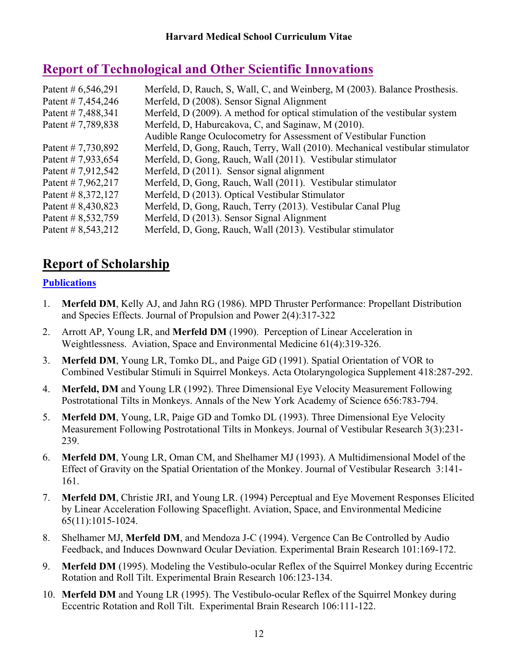# **Report of Technological and Other Scientific Innovations**

| Patent # $6,546,291$ | Merfeld, D, Rauch, S, Wall, C, and Weinberg, M (2003). Balance Prosthesis.    |
|----------------------|-------------------------------------------------------------------------------|
| Patent # 7,454,246   | Merfeld, D (2008). Sensor Signal Alignment                                    |
| Patent #7,488,341    | Merfeld, D (2009). A method for optical stimulation of the vestibular system  |
| Patent #7,789,838    | Merfeld, D. Haburcakova, C. and Saginaw, M (2010).                            |
|                      | Audible Range Oculocometry for Assessment of Vestibular Function              |
| Patent # 7,730,892   | Merfeld, D. Gong, Rauch, Terry, Wall (2010). Mechanical vestibular stimulator |
| Patent # 7,933,654   | Merfeld, D, Gong, Rauch, Wall (2011). Vestibular stimulator                   |
| Patent # 7,912,542   | Merfeld, D (2011). Sensor signal alignment                                    |
| Patent # 7,962,217   | Merfeld, D, Gong, Rauch, Wall (2011). Vestibular stimulator                   |
| Patent # $8,372,127$ | Merfeld, D (2013). Optical Vestibular Stimulator                              |
| Patent # $8,430,823$ | Merfeld, D, Gong, Rauch, Terry (2013). Vestibular Canal Plug                  |
| Patent # 8,532,759   | Merfeld, D (2013). Sensor Signal Alignment                                    |
| Patent # $8,543,212$ | Merfeld, D, Gong, Rauch, Wall (2013). Vestibular stimulator                   |
|                      |                                                                               |

# **Report of Scholarship**

### **Publications**

- 1. **Merfeld DM**, Kelly AJ, and Jahn RG (1986). MPD Thruster Performance: Propellant Distribution and Species Effects. Journal of Propulsion and Power 2(4):317-322
- 2. Arrott AP, Young LR, and **Merfeld DM** (1990). Perception of Linear Acceleration in Weightlessness. Aviation, Space and Environmental Medicine 61(4):319-326.
- 3. **Merfeld DM**, Young LR, Tomko DL, and Paige GD (1991). Spatial Orientation of VOR to Combined Vestibular Stimuli in Squirrel Monkeys. Acta Otolaryngologica Supplement 418:287-292.
- 4. **Merfeld, DM** and Young LR (1992). Three Dimensional Eye Velocity Measurement Following Postrotational Tilts in Monkeys. Annals of the New York Academy of Science 656:783-794.
- 5. **Merfeld DM**, Young, LR, Paige GD and Tomko DL (1993). Three Dimensional Eye Velocity Measurement Following Postrotational Tilts in Monkeys. Journal of Vestibular Research 3(3):231- 239.
- 6. **Merfeld DM**, Young LR, Oman CM, and Shelhamer MJ (1993). A Multidimensional Model of the Effect of Gravity on the Spatial Orientation of the Monkey. Journal of Vestibular Research 3:141- 161.
- 7. **Merfeld DM**, Christie JRI, and Young LR. (1994) Perceptual and Eye Movement Responses Elicited by Linear Acceleration Following Spaceflight. Aviation, Space, and Environmental Medicine 65(11):1015-1024.
- 8. Shelhamer MJ, **Merfeld DM**, and Mendoza J-C (1994). Vergence Can Be Controlled by Audio Feedback, and Induces Downward Ocular Deviation. Experimental Brain Research 101:169-172.
- 9. **Merfeld DM** (1995). Modeling the Vestibulo-ocular Reflex of the Squirrel Monkey during Eccentric Rotation and Roll Tilt. Experimental Brain Research 106:123-134.
- 10. **Merfeld DM** and Young LR (1995). The Vestibulo-ocular Reflex of the Squirrel Monkey during Eccentric Rotation and Roll Tilt. Experimental Brain Research 106:111-122.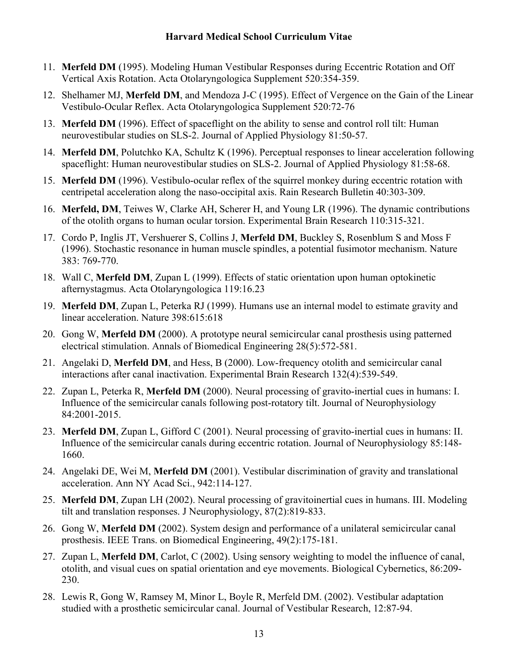- 11. **Merfeld DM** (1995). Modeling Human Vestibular Responses during Eccentric Rotation and Off Vertical Axis Rotation. Acta Otolaryngologica Supplement 520:354-359.
- 12. Shelhamer MJ, **Merfeld DM**, and Mendoza J-C (1995). Effect of Vergence on the Gain of the Linear Vestibulo-Ocular Reflex. Acta Otolaryngologica Supplement 520:72-76
- 13. **Merfeld DM** (1996). Effect of spaceflight on the ability to sense and control roll tilt: Human neurovestibular studies on SLS-2. Journal of Applied Physiology 81:50-57.
- 14. **Merfeld DM**, Polutchko KA, Schultz K (1996). Perceptual responses to linear acceleration following spaceflight: Human neurovestibular studies on SLS-2. Journal of Applied Physiology 81:58-68.
- 15. **Merfeld DM** (1996). Vestibulo-ocular reflex of the squirrel monkey during eccentric rotation with centripetal acceleration along the naso-occipital axis. Rain Research Bulletin 40:303-309.
- 16. **Merfeld, DM**, Teiwes W, Clarke AH, Scherer H, and Young LR (1996). The dynamic contributions of the otolith organs to human ocular torsion. Experimental Brain Research 110:315-321.
- 17. Cordo P, Inglis JT, Vershuerer S, Collins J, **Merfeld DM**, Buckley S, Rosenblum S and Moss F (1996). Stochastic resonance in human muscle spindles, a potential fusimotor mechanism. Nature 383: 769-770.
- 18. Wall C, **Merfeld DM**, Zupan L (1999). Effects of static orientation upon human optokinetic afternystagmus. Acta Otolaryngologica 119:16.23
- 19. **Merfeld DM**, Zupan L, Peterka RJ (1999). Humans use an internal model to estimate gravity and linear acceleration. Nature 398:615:618
- 20. Gong W, **Merfeld DM** (2000). A prototype neural semicircular canal prosthesis using patterned electrical stimulation. Annals of Biomedical Engineering 28(5):572-581.
- 21. Angelaki D, **Merfeld DM**, and Hess, B (2000). Low-frequency otolith and semicircular canal interactions after canal inactivation. Experimental Brain Research 132(4):539-549.
- 22. Zupan L, Peterka R, **Merfeld DM** (2000). Neural processing of gravito-inertial cues in humans: I. Influence of the semicircular canals following post-rotatory tilt. Journal of Neurophysiology 84:2001-2015.
- 23. **Merfeld DM**, Zupan L, Gifford C (2001). Neural processing of gravito-inertial cues in humans: II. Influence of the semicircular canals during eccentric rotation. Journal of Neurophysiology 85:148- 1660.
- 24. Angelaki DE, Wei M, **Merfeld DM** (2001). Vestibular discrimination of gravity and translational acceleration. Ann NY Acad Sci., 942:114-127.
- 25. **Merfeld DM**, Zupan LH (2002). Neural processing of gravitoinertial cues in humans. III. Modeling tilt and translation responses. J Neurophysiology, 87(2):819-833.
- 26. Gong W, **Merfeld DM** (2002). System design and performance of a unilateral semicircular canal prosthesis. IEEE Trans. on Biomedical Engineering, 49(2):175-181.
- 27. Zupan L, **Merfeld DM**, Carlot, C (2002). Using sensory weighting to model the influence of canal, otolith, and visual cues on spatial orientation and eye movements. Biological Cybernetics, 86:209- 230.
- 28. Lewis R, Gong W, Ramsey M, Minor L, Boyle R, Merfeld DM. (2002). Vestibular adaptation studied with a prosthetic semicircular canal. Journal of Vestibular Research, 12:87-94.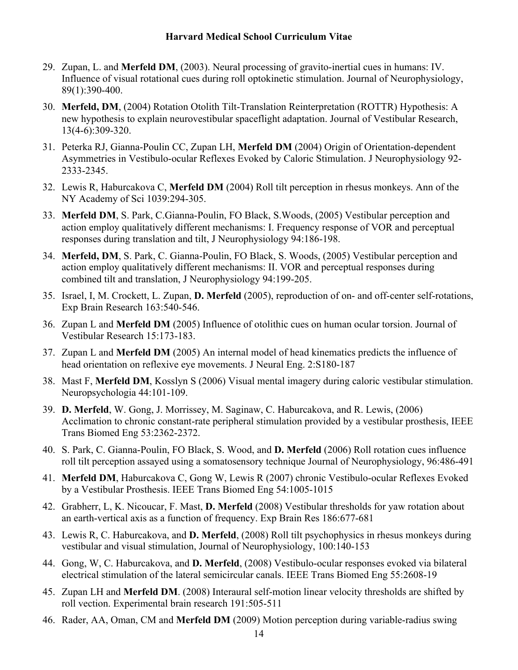- 29. Zupan, L. and **Merfeld DM**, (2003). Neural processing of gravito-inertial cues in humans: IV. Influence of visual rotational cues during roll optokinetic stimulation. Journal of Neurophysiology, 89(1):390-400.
- 30. **Merfeld, DM**, (2004) Rotation Otolith Tilt-Translation Reinterpretation (ROTTR) Hypothesis: A new hypothesis to explain neurovestibular spaceflight adaptation. Journal of Vestibular Research, 13(4-6):309-320.
- 31. Peterka RJ, Gianna-Poulin CC, Zupan LH, **Merfeld DM** (2004) Origin of Orientation-dependent Asymmetries in Vestibulo-ocular Reflexes Evoked by Caloric Stimulation. J Neurophysiology 92- 2333-2345.
- 32. Lewis R, Haburcakova C, **Merfeld DM** (2004) Roll tilt perception in rhesus monkeys. Ann of the NY Academy of Sci 1039:294-305.
- 33. **Merfeld DM**, S. Park, C.Gianna-Poulin, FO Black, S.Woods, (2005) Vestibular perception and action employ qualitatively different mechanisms: I. Frequency response of VOR and perceptual responses during translation and tilt, J Neurophysiology 94:186-198.
- 34. **Merfeld, DM**, S. Park, C. Gianna-Poulin, FO Black, S. Woods, (2005) Vestibular perception and action employ qualitatively different mechanisms: II. VOR and perceptual responses during combined tilt and translation, J Neurophysiology 94:199-205.
- 35. Israel, I, M. Crockett, L. Zupan, **D. Merfeld** (2005), reproduction of on- and off-center self-rotations, Exp Brain Research 163:540-546.
- 36. Zupan L and **Merfeld DM** (2005) Influence of otolithic cues on human ocular torsion. Journal of Vestibular Research 15:173-183.
- 37. Zupan L and **Merfeld DM** (2005) An internal model of head kinematics predicts the influence of head orientation on reflexive eye movements. J Neural Eng. 2:S180-187
- 38. Mast F, **Merfeld DM**, Kosslyn S (2006) Visual mental imagery during caloric vestibular stimulation. Neuropsychologia 44:101-109.
- 39. **D. Merfeld**, W. Gong, J. Morrissey, M. Saginaw, C. Haburcakova, and R. Lewis, (2006) Acclimation to chronic constant-rate peripheral stimulation provided by a vestibular prosthesis, IEEE Trans Biomed Eng 53:2362-2372.
- 40. S. Park, C. Gianna-Poulin, FO Black, S. Wood, and **D. Merfeld** (2006) Roll rotation cues influence roll tilt perception assayed using a somatosensory technique Journal of Neurophysiology, 96:486-491
- 41. **Merfeld DM**, Haburcakova C, Gong W, Lewis R (2007) chronic Vestibulo-ocular Reflexes Evoked by a Vestibular Prosthesis. IEEE Trans Biomed Eng 54:1005-1015
- 42. Grabherr, L, K. Nicoucar, F. Mast, **D. Merfeld** (2008) Vestibular thresholds for yaw rotation about an earth-vertical axis as a function of frequency. Exp Brain Res 186:677-681
- 43. Lewis R, C. Haburcakova, and **D. Merfeld**, (2008) Roll tilt psychophysics in rhesus monkeys during vestibular and visual stimulation, Journal of Neurophysiology, 100:140-153
- 44. Gong, W, C. Haburcakova, and **D. Merfeld**, (2008) Vestibulo-ocular responses evoked via bilateral electrical stimulation of the lateral semicircular canals. IEEE Trans Biomed Eng 55:2608-19
- 45. Zupan LH and **Merfeld DM**. (2008) Interaural self-motion linear velocity thresholds are shifted by roll vection. Experimental brain research 191:505-511
- 46. Rader, AA, Oman, CM and **Merfeld DM** (2009) Motion perception during variable-radius swing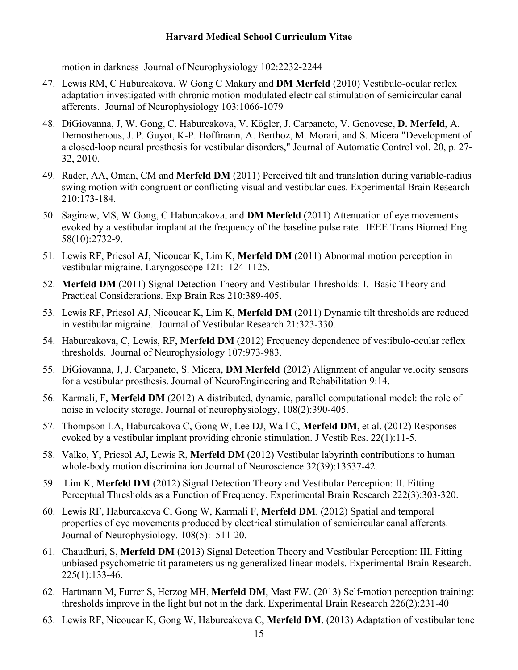motion in darkness Journal of Neurophysiology 102:2232-2244

- 47. Lewis RM, C Haburcakova, W Gong C Makary and **DM Merfeld** (2010) Vestibulo-ocular reflex adaptation investigated with chronic motion-modulated electrical stimulation of semicircular canal afferents. Journal of Neurophysiology 103:1066-1079
- 48. DiGiovanna, J, W. Gong, C. Haburcakova, V. Kögler, J. Carpaneto, V. Genovese, **D. Merfeld**, A. Demosthenous, J. P. Guyot, K-P. Hoffmann, A. Berthoz, M. Morari, and S. Micera "Development of a closed-loop neural prosthesis for vestibular disorders," Journal of Automatic Control vol. 20, p. 27- 32, 2010.
- 49. Rader, AA, Oman, CM and **Merfeld DM** (2011) Perceived tilt and translation during variable-radius swing motion with congruent or conflicting visual and vestibular cues. Experimental Brain Research 210:173-184.
- 50. Saginaw, MS, W Gong, C Haburcakova, and **DM Merfeld** (2011) Attenuation of eye movements evoked by a vestibular implant at the frequency of the baseline pulse rate. IEEE Trans Biomed Eng 58(10):2732-9.
- 51. Lewis RF, Priesol AJ, Nicoucar K, Lim K, **Merfeld DM** (2011) Abnormal motion perception in vestibular migraine. Laryngoscope 121:1124-1125.
- 52. **Merfeld DM** (2011) Signal Detection Theory and Vestibular Thresholds: I. Basic Theory and Practical Considerations. Exp Brain Res 210:389-405.
- 53. Lewis RF, Priesol AJ, Nicoucar K, Lim K, **Merfeld DM** (2011) Dynamic tilt thresholds are reduced in vestibular migraine. Journal of Vestibular Research 21:323-330.
- 54. Haburcakova, C, Lewis, RF, **Merfeld DM** (2012) Frequency dependence of vestibulo-ocular reflex thresholds. Journal of Neurophysiology 107:973-983.
- 55. DiGiovanna, J, J. Carpaneto, S. Micera, **DM Merfeld** (2012) Alignment of angular velocity sensors for a vestibular prosthesis. Journal of NeuroEngineering and Rehabilitation 9:14.
- 56. Karmali, F, **Merfeld DM** (2012) A distributed, dynamic, parallel computational model: the role of noise in velocity storage. Journal of neurophysiology, 108(2):390-405.
- 57. Thompson LA, Haburcakova C, Gong W, Lee DJ, Wall C, **Merfeld DM**, et al. (2012) Responses evoked by a vestibular implant providing chronic stimulation. J Vestib Res. 22(1):11-5.
- 58. Valko, Y, Priesol AJ, Lewis R, **Merfeld DM** (2012) Vestibular labyrinth contributions to human whole-body motion discrimination Journal of Neuroscience 32(39):13537-42.
- 59. Lim K, **Merfeld DM** (2012) Signal Detection Theory and Vestibular Perception: II. Fitting Perceptual Thresholds as a Function of Frequency. Experimental Brain Research 222(3):303-320.
- 60. Lewis RF, Haburcakova C, Gong W, Karmali F, **Merfeld DM**. (2012) Spatial and temporal properties of eye movements produced by electrical stimulation of semicircular canal afferents. Journal of Neurophysiology. 108(5):1511-20.
- 61. Chaudhuri, S, **Merfeld DM** (2013) Signal Detection Theory and Vestibular Perception: III. Fitting unbiased psychometric tit parameters using generalized linear models. Experimental Brain Research. 225(1):133-46.
- 62. Hartmann M, Furrer S, Herzog MH, **Merfeld DM**, Mast FW. (2013) Self-motion perception training: thresholds improve in the light but not in the dark. Experimental Brain Research 226(2):231-40
- 63. Lewis RF, Nicoucar K, Gong W, Haburcakova C, **Merfeld DM**. (2013) Adaptation of vestibular tone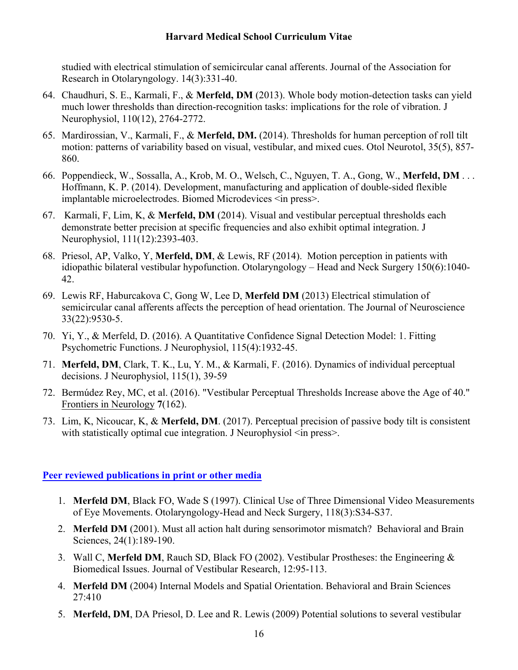studied with electrical stimulation of semicircular canal afferents. Journal of the Association for Research in Otolaryngology. 14(3):331-40.

- 64. Chaudhuri, S. E., Karmali, F., & **Merfeld, DM** (2013). Whole body motion-detection tasks can yield much lower thresholds than direction-recognition tasks: implications for the role of vibration. J Neurophysiol, 110(12), 2764-2772.
- 65. Mardirossian, V., Karmali, F., & **Merfeld, DM.** (2014). Thresholds for human perception of roll tilt motion: patterns of variability based on visual, vestibular, and mixed cues. Otol Neurotol, 35(5), 857- 860.
- 66. Poppendieck, W., Sossalla, A., Krob, M. O., Welsch, C., Nguyen, T. A., Gong, W., **Merfeld, DM** . . . Hoffmann, K. P. (2014). Development, manufacturing and application of double-sided flexible implantable microelectrodes. Biomed Microdevices  $\leq$  in press $\geq$ .
- 67. Karmali, F, Lim, K, & **Merfeld, DM** (2014). Visual and vestibular perceptual thresholds each demonstrate better precision at specific frequencies and also exhibit optimal integration. J Neurophysiol, 111(12):2393-403.
- 68. Priesol, AP, Valko, Y, **Merfeld, DM**, & Lewis, RF (2014). Motion perception in patients with idiopathic bilateral vestibular hypofunction. Otolaryngology – Head and Neck Surgery 150(6):1040- 42.
- 69. Lewis RF, Haburcakova C, Gong W, Lee D, **Merfeld DM** (2013) Electrical stimulation of semicircular canal afferents affects the perception of head orientation. The Journal of Neuroscience 33(22):9530-5.
- 70. Yi, Y., & Merfeld, D. (2016). A Quantitative Confidence Signal Detection Model: 1. Fitting Psychometric Functions. J Neurophysiol, 115(4):1932-45.
- 71. **Merfeld, DM**, Clark, T. K., Lu, Y. M., & Karmali, F. (2016). Dynamics of individual perceptual decisions. J Neurophysiol, 115(1), 39-59
- 72. Bermúdez Rey, MC, et al. (2016). "Vestibular Perceptual Thresholds Increase above the Age of 40." Frontiers in Neurology **7**(162).
- 73. Lim, K, Nicoucar, K, & **Merfeld, DM**. (2017). Perceptual precision of passive body tilt is consistent with statistically optimal cue integration. J Neurophysiol  $\leq$  in press $\geq$ .

### **Peer reviewed publications in print or other media**

- 1. **Merfeld DM**, Black FO, Wade S (1997). Clinical Use of Three Dimensional Video Measurements of Eye Movements. Otolaryngology-Head and Neck Surgery, 118(3):S34-S37.
- 2. **Merfeld DM** (2001). Must all action halt during sensorimotor mismatch? Behavioral and Brain Sciences, 24(1):189-190.
- 3. Wall C, **Merfeld DM**, Rauch SD, Black FO (2002). Vestibular Prostheses: the Engineering & Biomedical Issues. Journal of Vestibular Research, 12:95-113.
- 4. **Merfeld DM** (2004) Internal Models and Spatial Orientation. Behavioral and Brain Sciences 27:410
- 5. **Merfeld, DM**, DA Priesol, D. Lee and R. Lewis (2009) Potential solutions to several vestibular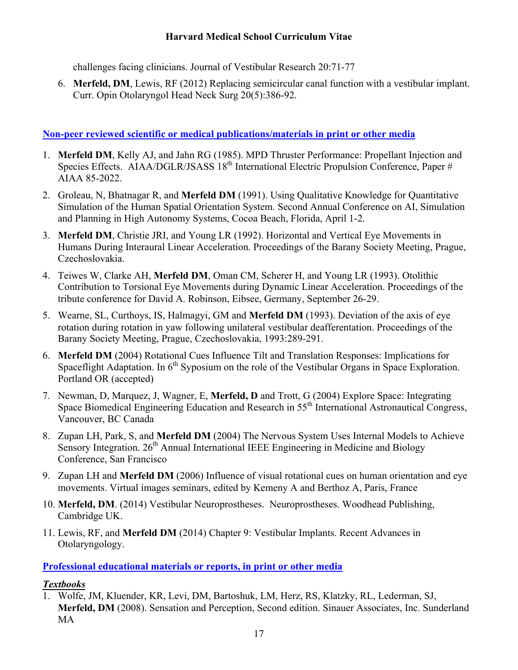challenges facing clinicians. Journal of Vestibular Research 20:71-77

6. **Merfeld, DM**, Lewis, RF (2012) Replacing semicircular canal function with a vestibular implant. Curr. Opin Otolaryngol Head Neck Surg 20(5):386-92.

### **Non-peer reviewed scientific or medical publications/materials in print or other media**

- 1. **Merfeld DM**, Kelly AJ, and Jahn RG (1985). MPD Thruster Performance: Propellant Injection and Species Effects. AIAA/DGLR/JSASS 18<sup>th</sup> International Electric Propulsion Conference, Paper # AIAA 85-2022.
- 2. Groleau, N, Bhatnagar R, and **Merfeld DM** (1991). Using Qualitative Knowledge for Quantitative Simulation of the Human Spatial Orientation System. Second Annual Conference on AI, Simulation and Planning in High Autonomy Systems, Cocoa Beach, Florida, April 1-2.
- 3. **Merfeld DM**, Christie JRI, and Young LR (1992). Horizontal and Vertical Eye Movements in Humans During Interaural Linear Acceleration. Proceedings of the Barany Society Meeting, Prague, Czechoslovakia.
- 4. Teiwes W, Clarke AH, **Merfeld DM**, Oman CM, Scherer H, and Young LR (1993). Otolithic Contribution to Torsional Eye Movements during Dynamic Linear Acceleration. Proceedings of the tribute conference for David A. Robinson, Eibsee, Germany, September 26-29.
- 5. Wearne, SL, Curthoys, IS, Halmagyi, GM and **Merfeld DM** (1993). Deviation of the axis of eye rotation during rotation in yaw following unilateral vestibular deafferentation. Proceedings of the Barany Society Meeting, Prague, Czechoslovakia, 1993:289-291.
- 6. **Merfeld DM** (2004) Rotational Cues Influence Tilt and Translation Responses: Implications for Spaceflight Adaptation. In  $6<sup>th</sup>$  Syposium on the role of the Vestibular Organs in Space Exploration. Portland OR (accepted)
- 7. Newman, D, Marquez, J, Wagner, E, **Merfeld, D** and Trott, G (2004) Explore Space: Integrating Space Biomedical Engineering Education and Research in 55<sup>th</sup> International Astronautical Congress, Vancouver, BC Canada
- 8. Zupan LH, Park, S, and **Merfeld DM** (2004) The Nervous System Uses Internal Models to Achieve Sensory Integration. 26<sup>th</sup> Annual International IEEE Engineering in Medicine and Biology Conference, San Francisco
- 9. Zupan LH and **Merfeld DM** (2006) Influence of visual rotational cues on human orientation and eye movements. Virtual images seminars, edited by Kemeny A and Berthoz A, Paris, France
- 10. **Merfeld, DM**. (2014) Vestibular Neuroprostheses. Neuroprostheses. Woodhead Publishing, Cambridge UK.
- 11. Lewis, RF, and **Merfeld DM** (2014) Chapter 9: Vestibular Implants. Recent Advances in Otolaryngology.

### **Professional educational materials or reports, in print or other media**

### *Textbooks*

1. Wolfe, JM, Kluender, KR, Levi, DM, Bartoshuk, LM, Herz, RS, Klatzky, RL, Lederman, SJ, **Merfeld, DM** (2008). Sensation and Perception, Second edition. Sinauer Associates, Inc. Sunderland MA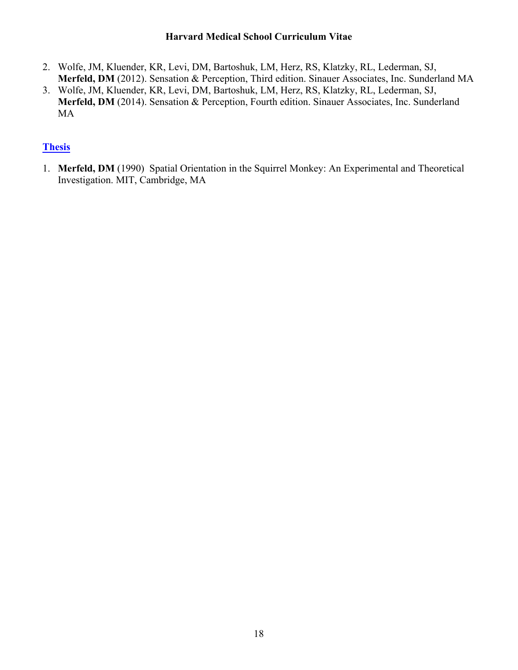- 2. Wolfe, JM, Kluender, KR, Levi, DM, Bartoshuk, LM, Herz, RS, Klatzky, RL, Lederman, SJ, **Merfeld, DM** (2012). Sensation & Perception, Third edition. Sinauer Associates, Inc. Sunderland MA
- 3. Wolfe, JM, Kluender, KR, Levi, DM, Bartoshuk, LM, Herz, RS, Klatzky, RL, Lederman, SJ, **Merfeld, DM** (2014). Sensation & Perception, Fourth edition. Sinauer Associates, Inc. Sunderland MA

### **Thesis**

1. **Merfeld, DM** (1990) Spatial Orientation in the Squirrel Monkey: An Experimental and Theoretical Investigation. MIT, Cambridge, MA